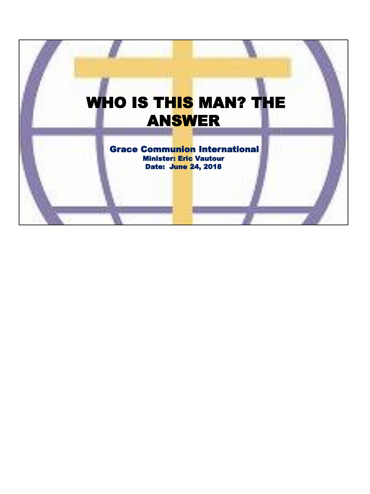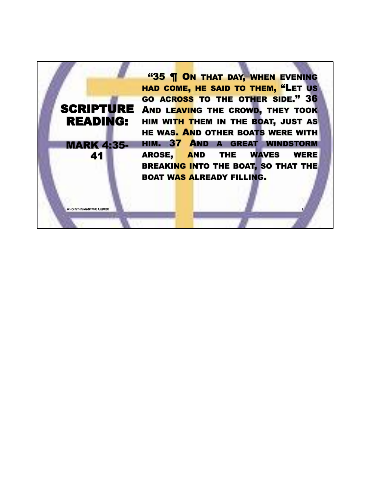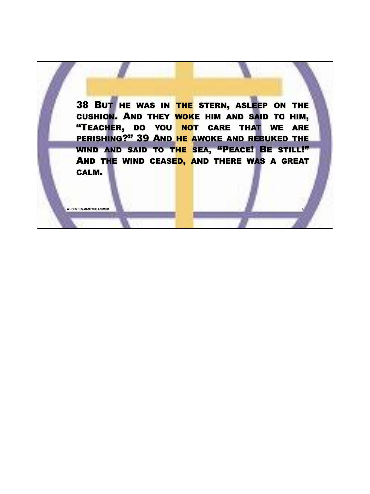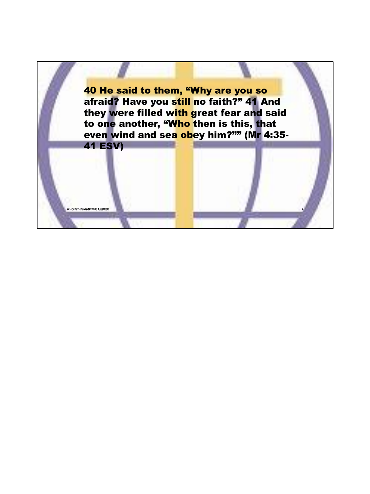40 He said to them, "Why are you so afraid? Have you still no faith?" 41 And they were filled with great fear and said to one another, "Who then is this, that even wind and sea obey him?"" (Mr 4:35- 41 ESV)

**WHO IS THIS MAN? THE ANSWER** 

**4**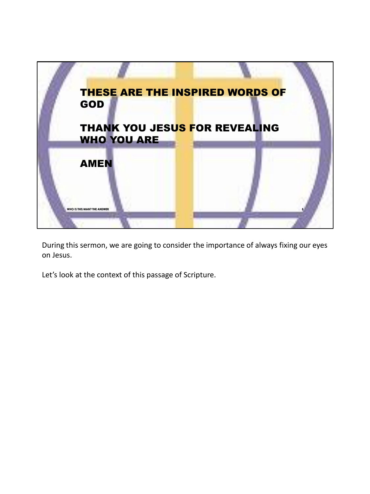

During this sermon, we are going to consider the importance of always fixing our eyes on Jesus.

Let's look at the context of this passage of Scripture.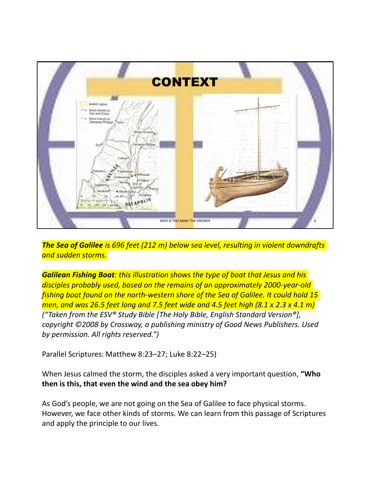

*The Sea of Galilee is 696 feet (212 m) below sea level, resulting in violent downdrafts and sudden storms.*

*Galilean Fishing Boat: this illustration shows the type of boat that Jesus and his disciples probably used, based on the remains of an approximately 2000-year-old fishing boat found on the north-western shore of the Sea of Galilee. It could hold 15 men, and was 26.5 feet long and 7.5 feet wide and 4.5 feet high (8.1 x 2.3 x 4.1 m) ("Taken from the ESV® Study Bible [The Holy Bible, English Standard Version®], copyright ©2008 by Crossway, a publishing ministry of Good News Publishers. Used by permission. All rights reserved.")*

Parallel Scriptures: Matthew 8:23–27; Luke 8:22–25)

When Jesus calmed the storm, the disciples asked a very important question, **"Who then is this, that even the wind and the sea obey him?**

As God's people, we are not going on the Sea of Galilee to face physical storms. However, we face other kinds of storms. We can learn from this passage of Scriptures and apply the principle to our lives.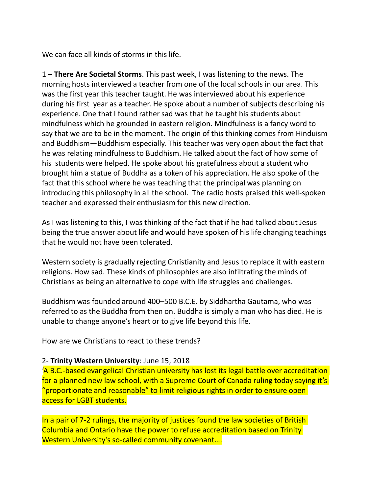We can face all kinds of storms in this life.

1 – **There Are Societal Storms**. This past week, I was listening to the news. The morning hosts interviewed a teacher from one of the local schools in our area. This was the first year this teacher taught. He was interviewed about his experience during his first year as a teacher. He spoke about a number of subjects describing his experience. One that I found rather sad was that he taught his students about mindfulness which he grounded in eastern religion. Mindfulness is a fancy word to say that we are to be in the moment. The origin of this thinking comes from Hinduism and Buddhism—Buddhism especially. This teacher was very open about the fact that he was relating mindfulness to Buddhism. He talked about the fact of how some of his students were helped. He spoke about his gratefulness about a student who brought him a statue of Buddha as a token of his appreciation. He also spoke of the fact that this school where he was teaching that the principal was planning on introducing this philosophy in all the school. The radio hosts praised this well-spoken teacher and expressed their enthusiasm for this new direction.

As I was listening to this, I was thinking of the fact that if he had talked about Jesus being the true answer about life and would have spoken of his life changing teachings that he would not have been tolerated.

Western society is gradually rejecting Christianity and Jesus to replace it with eastern religions. How sad. These kinds of philosophies are also infiltrating the minds of Christians as being an alternative to cope with life struggles and challenges.

Buddhism was founded around 400–500 B.C.E. by Siddhartha Gautama, who was referred to as the Buddha from then on. Buddha is simply a man who has died. He is unable to change anyone's heart or to give life beyond this life.

How are we Christians to react to these trends?

### 2- **Trinity Western University**: June 15, 2018

'A B.C.-based evangelical Christian university has lost its legal battle over accreditation for a planned new law school, with a Supreme Court of Canada ruling today saying it's "proportionate and reasonable" to limit religious rights in order to ensure open access for LGBT students.

In a pair of 7-2 rulings, the majority of justices found the law societies of British Columbia and Ontario have the power to refuse accreditation based on Trinity Western University's so-called community covenant….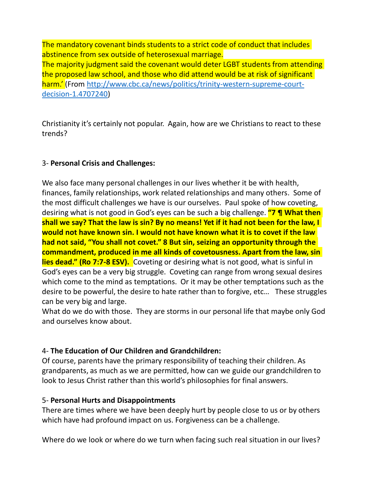The mandatory covenant binds students to a strict code of conduct that includes abstinence from sex outside of heterosexual marriage. The majority judgment said the covenant would deter LGBT students from attending the proposed law school, and those who did attend would be at risk of significant harm.' (From http://www.cbc.ca/news/politics/trinity-western-supreme-courtdecision-1.4707240)

Christianity it's certainly not popular. Again, how are we Christians to react to these trends?

# 3- **Personal Crisis and Challenges:**

We also face many personal challenges in our lives whether it be with health, finances, family relationships, work related relationships and many others. Some of the most difficult challenges we have is our ourselves. Paul spoke of how coveting, desiring what is not good in God's eyes can be such a big challenge. **"7 ¶ What then shall we say? That the law is sin? By no means! Yet if it had not been for the law, I would not have known sin. I would not have known what it is to covet if the law had not said, "You shall not covet." 8 But sin, seizing an opportunity through the commandment, produced in me all kinds of covetousness. Apart from the law, sin lies dead." (Ro 7:7-8 ESV).** Coveting or desiring what is not good, what is sinful in God's eyes can be a very big struggle. Coveting can range from wrong sexual desires which come to the mind as temptations. Or it may be other temptations such as the desire to be powerful, the desire to hate rather than to forgive, etc… These struggles can be very big and large.

What do we do with those. They are storms in our personal life that maybe only God and ourselves know about.

### 4- **The Education of Our Children and Grandchildren:**

Of course, parents have the primary responsibility of teaching their children. As grandparents, as much as we are permitted, how can we guide our grandchildren to look to Jesus Christ rather than this world's philosophies for final answers.

### 5- **Personal Hurts and Disappointments**

There are times where we have been deeply hurt by people close to us or by others which have had profound impact on us. Forgiveness can be a challenge.

Where do we look or where do we turn when facing such real situation in our lives?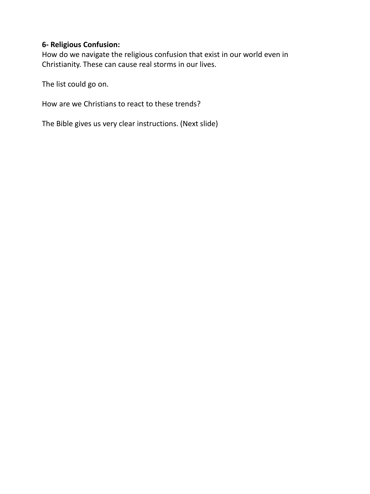# **6- Religious Confusion:**

How do we navigate the religious confusion that exist in our world even in Christianity. These can cause real storms in our lives.

The list could go on.

How are we Christians to react to these trends?

The Bible gives us very clear instructions. (Next slide)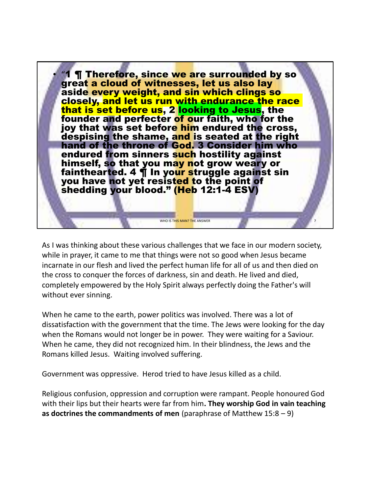

As I was thinking about these various challenges that we face in our modern society, while in prayer, it came to me that things were not so good when Jesus became incarnate in our flesh and lived the perfect human life for all of us and then died on the cross to conquer the forces of darkness, sin and death. He lived and died, completely empowered by the Holy Spirit always perfectly doing the Father's will without ever sinning.

When he came to the earth, power politics was involved. There was a lot of dissatisfaction with the government that the time. The Jews were looking for the day when the Romans would not longer be in power. They were waiting for a Saviour. When he came, they did not recognized him. In their blindness, the Jews and the Romans killed Jesus. Waiting involved suffering.

Government was oppressive. Herod tried to have Jesus killed as a child.

Religious confusion, oppression and corruption were rampant. People honoured God with their lips but their hearts were far from him**. They worship God in vain teaching as doctrines the commandments of men** (paraphrase of Matthew 15:8 – 9)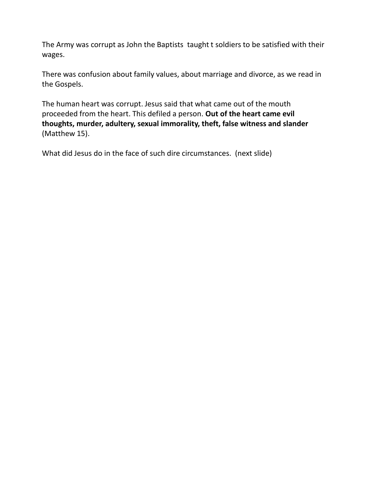The Army was corrupt as John the Baptists taught t soldiers to be satisfied with their wages.

There was confusion about family values, about marriage and divorce, as we read in the Gospels.

The human heart was corrupt. Jesus said that what came out of the mouth proceeded from the heart. This defiled a person. **Out of the heart came evil thoughts, murder, adultery, sexual immorality, theft, false witness and slander**  (Matthew 15).

What did Jesus do in the face of such dire circumstances. (next slide)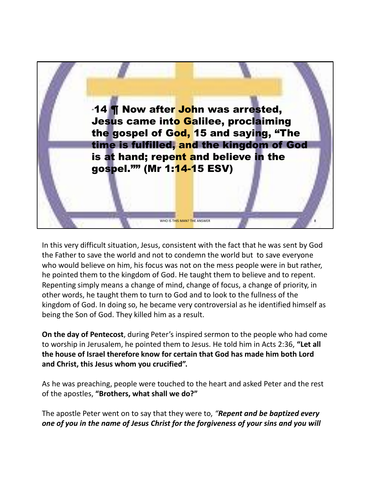

In this very difficult situation, Jesus, consistent with the fact that he was sent by God the Father to save the world and not to condemn the world but to save everyone who would believe on him, his focus was not on the mess people were in but rather, he pointed them to the kingdom of God. He taught them to believe and to repent. Repenting simply means a change of mind, change of focus, a change of priority, in other words, he taught them to turn to God and to look to the fullness of the kingdom of God. In doing so, he became very controversial as he identified himself as being the Son of God. They killed him as a result.

**On the day of Pentecost**, during Peter's inspired sermon to the people who had come to worship in Jerusalem, he pointed them to Jesus. He told him in Acts 2:36, **"Let all the house of Israel therefore know for certain that God has made him both Lord and Christ, this Jesus whom you crucified".**

As he was preaching, people were touched to the heart and asked Peter and the rest of the apostles, **"Brothers, what shall we do?"**

The apostle Peter went on to say that they were to, *"Repent and be baptized every one of you in the name of Jesus Christ for the forgiveness of your sins and you will*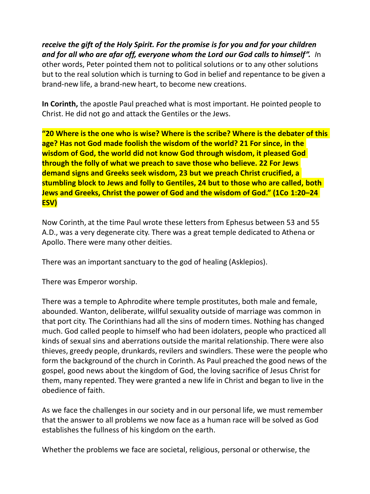*receive the gift of the Holy Spirit. For the promise is for you and for your children and for all who are afar off, everyone whom the Lord our God calls to himself". I*n other words, Peter pointed them not to political solutions or to any other solutions but to the real solution which is turning to God in belief and repentance to be given a brand-new life, a brand-new heart, to become new creations.

**In Corinth,** the apostle Paul preached what is most important. He pointed people to Christ. He did not go and attack the Gentiles or the Jews.

**"20 Where is the one who is wise? Where is the scribe? Where is the debater of this age? Has not God made foolish the wisdom of the world? 21 For since, in the wisdom of God, the world did not know God through wisdom, it pleased God through the folly of what we preach to save those who believe. 22 For Jews demand signs and Greeks seek wisdom, 23 but we preach Christ crucified, a stumbling block to Jews and folly to Gentiles, 24 but to those who are called, both Jews and Greeks, Christ the power of God and the wisdom of God." (1Co 1:20–24 ESV)**

Now Corinth, at the time Paul wrote these letters from Ephesus between 53 and 55 A.D., was a very degenerate city. There was a great temple dedicated to Athena or Apollo. There were many other deities.

There was an important sanctuary to the god of healing (Asklepios).

There was Emperor worship.

There was a temple to Aphrodite where temple prostitutes, both male and female, abounded. Wanton, deliberate, willful sexuality outside of marriage was common in that port city. The Corinthians had all the sins of modern times. Nothing has changed much. God called people to himself who had been idolaters, people who practiced all kinds of sexual sins and aberrations outside the marital relationship. There were also thieves, greedy people, drunkards, revilers and swindlers. These were the people who form the background of the church in Corinth. As Paul preached the good news of the gospel, good news about the kingdom of God, the loving sacrifice of Jesus Christ for them, many repented. They were granted a new life in Christ and began to live in the obedience of faith.

As we face the challenges in our society and in our personal life, we must remember that the answer to all problems we now face as a human race will be solved as God establishes the fullness of his kingdom on the earth.

Whether the problems we face are societal, religious, personal or otherwise, the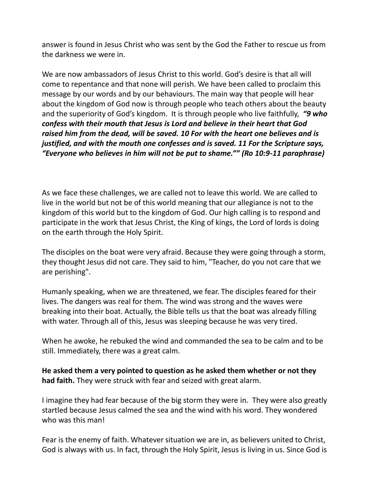answer is found in Jesus Christ who was sent by the God the Father to rescue us from the darkness we were in.

We are now ambassadors of Jesus Christ to this world. God's desire is that all will come to repentance and that none will perish. We have been called to proclaim this message by our words and by our behaviours. The main way that people will hear about the kingdom of God now is through people who teach others about the beauty and the superiority of God's kingdom. It is through people who live faithfully, *"9 who confess with their mouth that Jesus is Lord and believe in their heart that God raised him from the dead, will be saved. 10 For with the heart one believes and is justified, and with the mouth one confesses and is saved. 11 For the Scripture says, "Everyone who believes in him will not be put to shame."" (Ro 10:9-11 paraphrase)*

As we face these challenges, we are called not to leave this world. We are called to live in the world but not be of this world meaning that our allegiance is not to the kingdom of this world but to the kingdom of God. Our high calling is to respond and participate in the work that Jesus Christ, the King of kings, the Lord of lords is doing on the earth through the Holy Spirit.

The disciples on the boat were very afraid. Because they were going through a storm, they thought Jesus did not care. They said to him, "Teacher, do you not care that we are perishing".

Humanly speaking, when we are threatened, we fear. The disciples feared for their lives. The dangers was real for them. The wind was strong and the waves were breaking into their boat. Actually, the Bible tells us that the boat was already filling with water. Through all of this, Jesus was sleeping because he was very tired.

When he awoke, he rebuked the wind and commanded the sea to be calm and to be still. Immediately, there was a great calm.

**He asked them a very pointed to question as he asked them whether or not they had faith.** They were struck with fear and seized with great alarm.

I imagine they had fear because of the big storm they were in. They were also greatly startled because Jesus calmed the sea and the wind with his word. They wondered who was this man!

Fear is the enemy of faith. Whatever situation we are in, as believers united to Christ, God is always with us. In fact, through the Holy Spirit, Jesus is living in us. Since God is